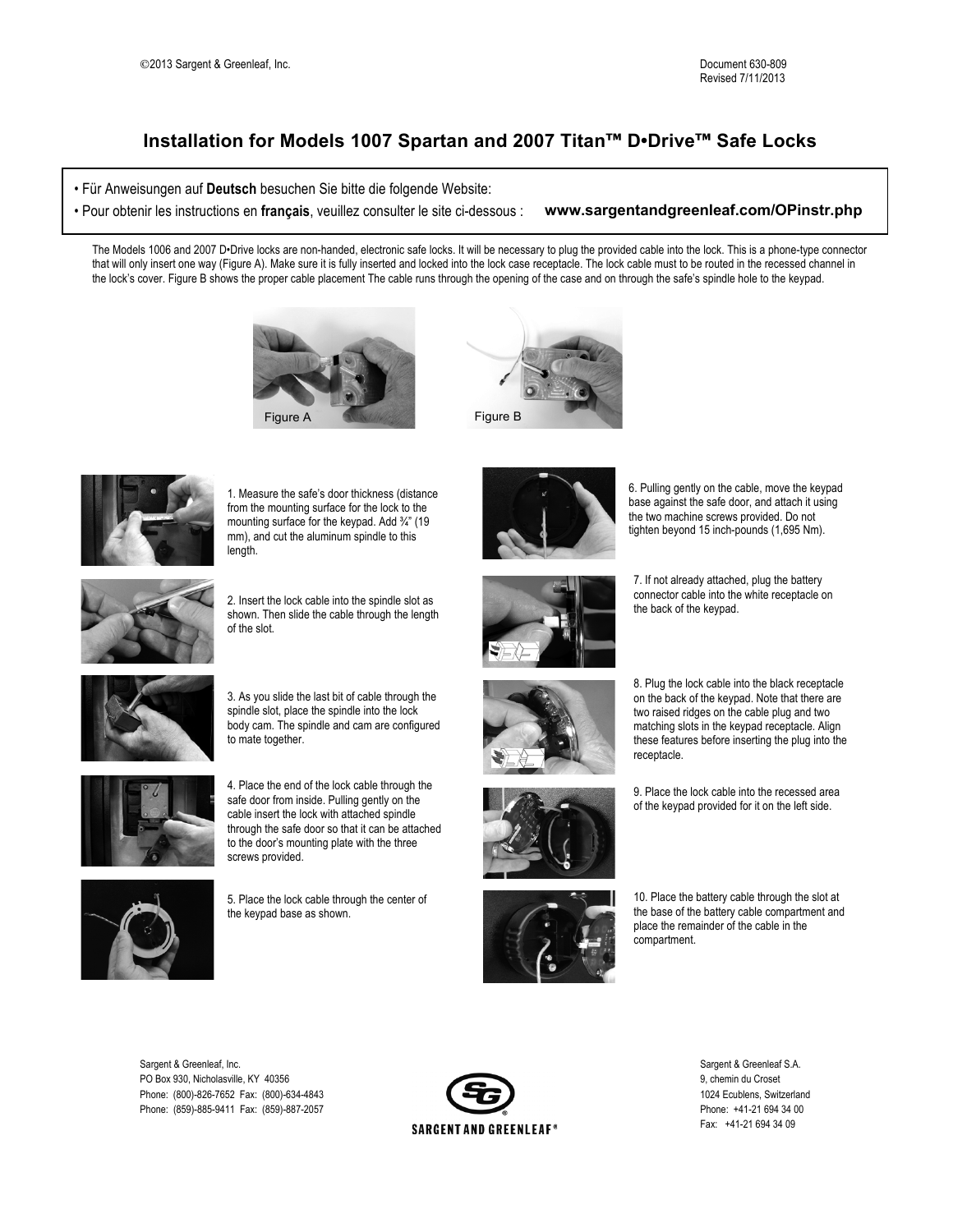## **Installation for Models 1007 Spartan and 2007 Titan™ D•Drive™ Safe Locks**

• Für Anweisungen auf **Deutsch** besuchen Sie bitte die folgende Website:

• Pour obtenir les instructions en **français**, veuillez consulter le site ci-dessous : **www.sargentandgreenleaf.com/OPinstr.php**

The Models 1006 and 2007 D•Drive locks are non-handed, electronic safe locks. It will be necessary to plug the provided cable into the lock. This is a phone-type connector that will only insert one way (Figure A). Make sure it is fully inserted and locked into the lock case receptacle. The lock cable must to be routed in the recessed channel in the lock's cover. Figure B shows the proper cable placement The cable runs through the opening of the case and on through the safe's spindle hole to the keypad.







**OPinstr.php**

1. Measure the safe's door thickness (distance from the mounting surface for the lock to the mounting surface for the keypad. Add 3/4" (19 mm), and cut the aluminum spindle to this length.



2. Insert the lock cable into the spindle slot as shown. Then slide the cable through the length of the slot.



3. As you slide the last bit of cable through the spindle slot, place the spindle into the lock body cam. The spindle and cam are configured to mate together.



4. Place the end of the lock cable through the safe door from inside. Pulling gently on the cable insert the lock with attached spindle through the safe door so that it can be attached to the door's mounting plate with the three screws provided.



5. Place the lock cable through the center of the keypad base as shown.



6. Pulling gently on the cable, move the keypad base against the safe door, and attach it using the two machine screws provided. Do not tighten beyond 15 inch-pounds (1,695 Nm).



7. If not already attached, plug the battery connector cable into the white receptacle on the back of the keypad.



8. Plug the lock cable into the black receptacle on the back of the keypad. Note that there are two raised ridges on the cable plug and two matching slots in the keypad receptacle. Align these features before inserting the plug into the receptacle.





10. Place the battery cable through the slot at the base of the battery cable compartment and place the remainder of the cable in the compartment.

Sargent & Greenleaf, Inc. Sargent & Greenleaf S.A. PO Box 930, Nicholasville, KY 40356 9, chemin du Croset 9, chemin du Croset 9, chemin du Croset 9, chemin du Croset 9, chemin du Croset 9, chemin du Croset 9, chemin du Croset 9, chemin du Croset 9, chemin du Croset 9, che Phone: (800)-826-7652 Fax: (800)-634-4843 Phone: (859)-885-9411 Fax: (859)-887-2057 Phone: +41-21 694 34 00



Fax: +41-21 694 34 09